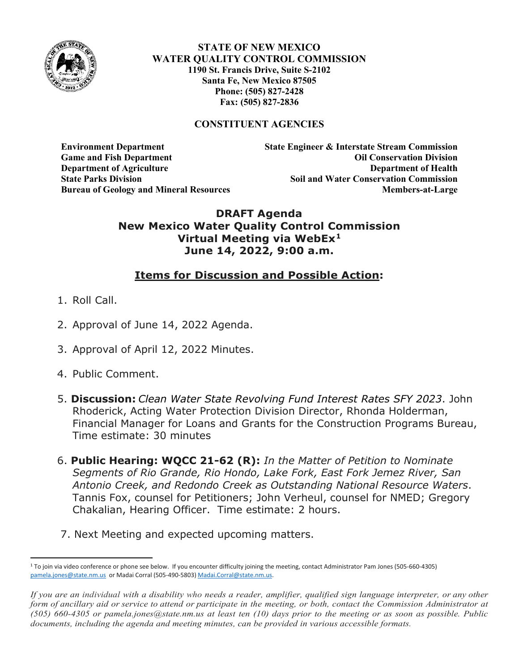

**STATE OF NEW MEXICO WATER QUALITY CONTROL COMMISSION 1190 St. Francis Drive, Suite S-2102 Santa Fe, New Mexico 87505 Phone: (505) 827-2428 Fax: (505) 827-2836**

### **CONSTITUENT AGENCIES**

**Environment Department State Engineer & Interstate Stream Commission Game and Fish Department Oil Conservation Division Department of Agriculture Department of Health State Parks Division Soil and Water Conservation Commission Bureau of Geology and Mineral Resources Members-at-Large**

### **DRAFT Agenda New Mexico Water Quality Control Commission Virtual Meeting via WebEx[1](#page-0-0) June 14, 2022, 9:00 a.m.**

# **Items for Discussion and Possible Action:**

- 1. Roll Call.
- 2. Approval of June 14, 2022 Agenda.
- 3. Approval of April 12, 2022 Minutes.
- 4. Public Comment.
- 5. **Discussion:** *Clean Water State Revolving Fund Interest Rates SFY 2023*. John Rhoderick, Acting Water Protection Division Director, Rhonda Holderman, Financial Manager for Loans and Grants for the Construction Programs Bureau, Time estimate: 30 minutes
- 6. **Public Hearing: WQCC 21-62 (R):** *In the Matter of Petition to Nominate Segments of Rio Grande, Rio Hondo, Lake Fork, East Fork Jemez River, San Antonio Creek, and Redondo Creek as Outstanding National Resource Waters*. Tannis Fox, counsel for Petitioners; John Verheul, counsel for NMED; Gregory Chakalian, Hearing Officer. Time estimate: 2 hours.
- 7. Next Meeting and expected upcoming matters.

<span id="page-0-0"></span><sup>&</sup>lt;sup>1</sup> To join via video conference or phone see below. If you encounter difficulty joining the meeting, contact Administrator Pam Jones (505-660-4305) [pamela.jones@state.nm.us](mailto:pamela.jones@state.nm.us) or Madai Corral (505-490-5803[\) Madai.Corral@state.nm.us.](mailto:Madai.Corral@state.nm.us)

*If you are an individual with a disability who needs a reader, amplifier, qualified sign language interpreter, or any other form of ancillary aid or service to attend or participate in the meeting, or both, contact the Commission Administrator at (505) 660-4305 or pamela.jones@state.nm.us at least ten (10) days prior to the meeting or as soon as possible. Public documents, including the agenda and meeting minutes, can be provided in various accessible formats.*